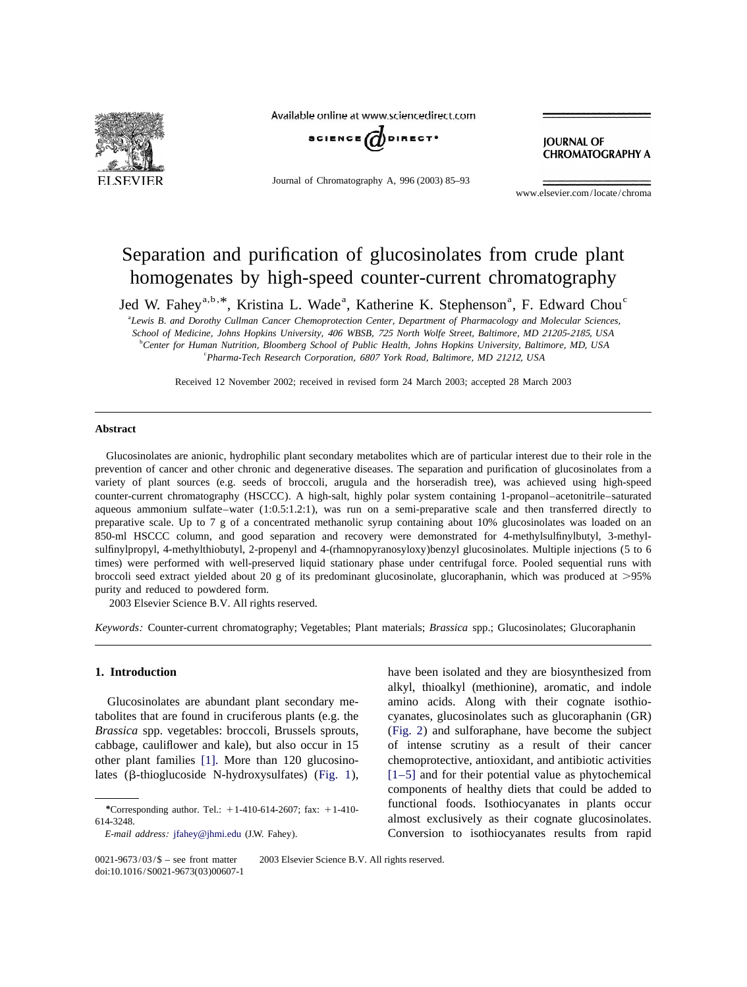

Available online at www.sciencedirect.com



Journal of Chromatography A, 996 (2003) 85–93

**JOURNAL OF CHROMATOGRAPHY A** 

www.elsevier.com/locate/chroma

# Separation and purification of glucosinolates from crude plant homogenates by high-speed counter-current chromatography

Jed W. Fahey<sup>a,b, \*</sup>, Kristina L. Wade<sup>a</sup>, Katherine K. Stephenson<sup>a</sup>, F. Edward Chou<sup>c</sup>

a *Lewis B*. *and Dorothy Cullman Cancer Chemoprotection Center*, *Department of Pharmacology and Molecular Sciences*, *School of Medicine*, *Johns Hopkins University*, <sup>406</sup> *WBSB*, <sup>725</sup> *North Wolfe Street*, *Baltimore*, *MD* <sup>21205</sup>-2185, *USA*

b *Center for Human Nutrition*, *Bloomberg School of Public Health*, *Johns Hopkins University*, *Baltimore*, *MD*, *USA* c *Pharma*-*Tech Research Corporation*, <sup>6807</sup> *York Road*, *Baltimore*, *MD* 21212, *USA*

Received 12 November 2002; received in revised form 24 March 2003; accepted 28 March 2003

## **Abstract**

Glucosinolates are anionic, hydrophilic plant secondary metabolites which are of particular interest due to their role in the prevention of cancer and other chronic and degenerative diseases. The separation and purification of glucosinolates from a variety of plant sources (e.g. seeds of broccoli, arugula and the horseradish tree), was achieved using high-speed counter-current chromatography (HSCCC). A high-salt, highly polar system containing 1-propanol–acetonitrile–saturated aqueous ammonium sulfate–water (1:0.5:1.2:1), was run on a semi-preparative scale and then transferred directly to preparative scale. Up to 7 g of a concentrated methanolic syrup containing about 10% glucosinolates was loaded on an 850-ml HSCCC column, and good separation and recovery were demonstrated for 4-methylsulfinylbutyl, 3-methylsulfinylpropyl, 4-methylthiobutyl, 2-propenyl and 4-(rhamnopyranosyloxy)benzyl glucosinolates. Multiple injections (5 to 6 times) were performed with well-preserved liquid stationary phase under centrifugal force. Pooled sequential runs with broccoli seed extract yielded about 20 g of its predominant glucosinolate, glucoraphanin, which was produced at  $>95\%$ purity and reduced to powdered form.

2003 Elsevier Science B.V. All rights reserved.

*Keywords*: Counter-current chromatography; Vegetables; Plant materials; *Brassica* spp.; Glucosinolates; Glucoraphanin

tabolites that are found in cruciferous plants (e.g. the cyanates, glucosinolates such as glucoraphanin (GR)

**1. Introduction** have been isolated and they are biosynthesized from alkyl, thioalkyl (methionine), aromatic, and indole Glucosinolates are abundant plant secondary me- amino acids. Along with their cognate isothio-*Brassica* spp. vegetables: broccoli, Brussels sprouts, ([Fig.](#page-1-0) [2](#page-1-0)) and sulforaphane, have become the subject cabbage, cauliflower and kale), but also occur in 15 of intense scrutiny as a result of their cancer other plant families [\[1\].](#page-7-0) More than 120 glucosino- chemoprotective, antioxidant, and antibiotic activities lates (b-thioglucoside N-hydroxysulfates) ([Fig. 1](#page-1-0)), [\[1–5\]](#page-7-0) and for their potential value as phytochemical components of healthy diets that could be added to functional foods. Isothiocyanates in plants occur *\**Corresponding author. Tel.: <sup>1</sup>1-410-614-2607; fax: <sup>1</sup>1-410- 614-3248. almost exclusively as their cognate glucosinolates. *E*-*mail address*: [jfahey@jhmi.edu](mailto:jfahey@jhmi.edu) (J.W. Fahey). Conversion to isothiocyanates results from rapid

 $0021-9673/03/\$$  – see front matter  $\degree$  2003 Elsevier Science B.V. All rights reserved. doi:10.1016/S0021-9673(03)00607-1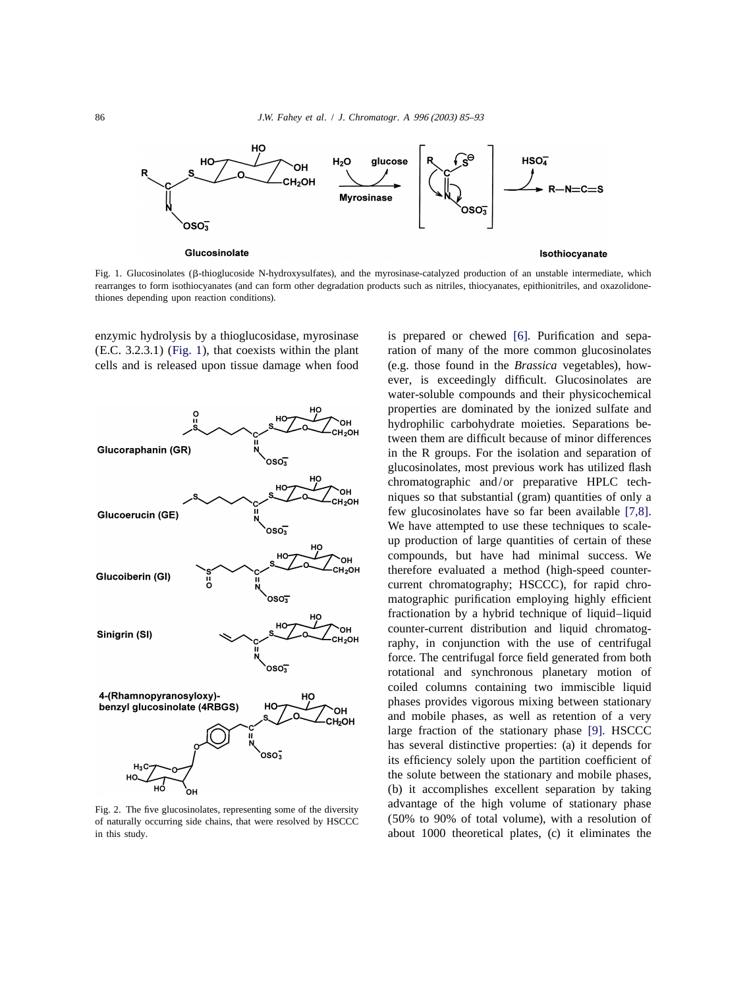<span id="page-1-0"></span>

Fig. 1. Glucosinolates (b-thioglucoside N-hydroxysulfates), and the myrosinase-catalyzed production of an unstable intermediate, which rearranges to form isothiocyanates (and can form other degradation products such as nitriles, thiocyanates, epithionitriles, and oxazolidonethiones depending upon reaction conditions).

(E.C. 3.2.3.1) (Fig. 1), that coexists within the plant ration of many of the more common glucosinolates cells and is released upon tissue damage when food (e.g. those found in the *Brassica* vegetables), how-



of naturally occurring side chains, that were resolved by HSCCC (50% to 90% of total volume), with a resolution of in this study. about 1000 theoretical plates, (c) it eliminates the

enzymic hydrolysis by a thioglucosidase, myrosinase is prepared or chewed [\[6\].](#page-7-0) Purification and sepa ever, is exceedingly difficult. Glucosinolates are water-soluble compounds and their physicochemical properties are dominated by the ionized sulfate and hydrophilic carbohydrate moieties. Separations between them are difficult because of minor differences in the R groups. For the isolation and separation of glucosinolates, most previous work has utilized flash chromatographic and/or preparative HPLC techniques so that substantial (gram) quantities of only a few glucosinolates have so far been available [\[7,8\].](#page-7-0) We have attempted to use these techniques to scaleup production of large quantities of certain of these compounds, but have had minimal success. We therefore evaluated a method (high-speed countercurrent chromatography; HSCCC), for rapid chromatographic purification employing highly efficient fractionation by a hybrid technique of liquid–liquid counter-current distribution and liquid chromatography, in conjunction with the use of centrifugal force. The centrifugal force field generated from both rotational and synchronous planetary motion of coiled columns containing two immiscible liquid phases provides vigorous mixing between stationary and mobile phases, as well as retention of a very large fraction of the stationary phase [\[9\].](#page-7-0) HSCCC has several distinctive properties: (a) it depends for its efficiency solely upon the partition coefficient of the solute between the stationary and mobile phases, (b) it accomplishes excellent separation by taking Fig. 2. The five glucosinolates, representing some of the diversity advantage of the high volume of stationary phase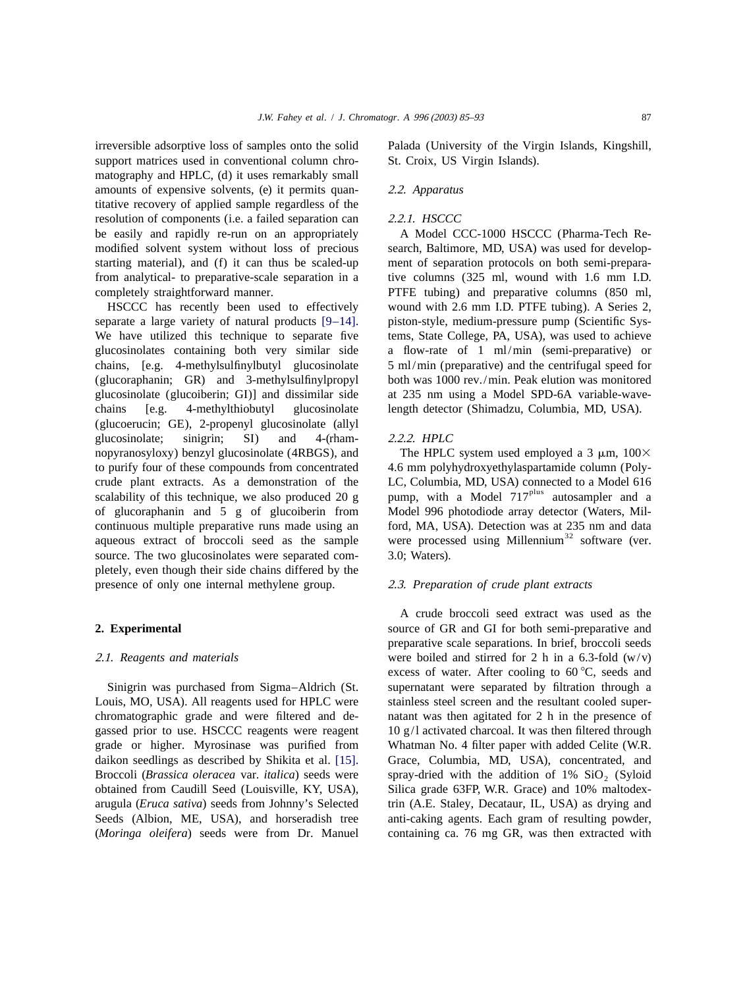irreversible adsorptive loss of samples onto the solid Palada (University of the Virgin Islands, Kingshill, support matrices used in conventional column chro-<br>St. Croix, US Virgin Islands). matography and HPLC, (d) it uses remarkably small amounts of expensive solvents, (e) it permits quan- 2 .2. *Apparatus* titative recovery of applied sample regardless of the resolution of components (i.e. a failed separation can 2 .2.1. *HSCCC* be easily and rapidly re-run on an appropriately A Model CCC-1000 HSCCC (Pharma-Tech Remodified solvent system without loss of precious search, Baltimore, MD, USA) was used for developstarting material), and (f) it can thus be scaled-up ment of separation protocols on both semi-preparafrom analytical- to preparative-scale separation in a tive columns (325 ml, wound with 1.6 mm I.D. completely straightforward manner. PTFE tubing) and preparative columns (850 ml,

separate a large variety of natural products [\[9–14\].](#page-7-0) piston-style, medium-pressure pump (Scientific Sys-We have utilized this technique to separate five tems, State College, PA, USA), was used to achieve glucosinolates containing both very similar side a flow-rate of 1 ml/min (semi-preparative) or chains, [e.g. 4-methylsulfinylbutyl glucosinolate 5 ml/min (preparative) and the centrifugal speed for (glucoraphanin; GR) and 3-methylsulfinylpropyl both was 1000 rev./min. Peak elution was monitored glucosinolate (glucoiberin; GI)] and dissimilar side at 235 nm using a Model SPD-6A variable-wavechains [e.g. 4-methylthiobutyl glucosinolate length detector (Shimadzu, Columbia, MD, USA). (glucoerucin; GE), 2-propenyl glucosinolate (allyl glucosinolate; sinigrin; SI) and 4-(rham- 2.2.2. *HPLC* nopyranosyloxy) benzyl glucosinolate (4RBGS), and The HPLC system used employed a 3  $\mu$ m, 100 $\times$ to purify four of these compounds from concentrated 4.6 mm polyhydroxyethylaspartamide column (Polycrude plant extracts. As a demonstration of the LC, Columbia, MD, USA) connected to a Model 616 scalability of this technique, we also produced 20 g pump, with a Model  $717<sup>plus</sup>$  autosampler and a of glucoraphanin and 5 g of glucoiberin from Model 996 photodiode array detector (Waters, Milcontinuous multiple preparative runs made using an ford, MA, USA). Detection was at  $235 \text{ nm}$  and data aqueous extract of broccoli seed as the sample were processed using Millennium<sup>32</sup> software (ver. source. The two glucosinolates were separated com- 3.0; Waters). pletely, even though their side chains differed by the presence of only one internal methylene group. 2 .3. *Preparation of crude plant extracts*

Louis, MO, USA). All reagents used for HPLC were stainless steel screen and the resultant cooled superchromatographic grade and were filtered and de- natant was then agitated for 2 h in the presence of gassed prior to use. HSCCC reagents were reagent  $10 g/l$  activated charcoal. It was then filtered through grade or higher. Myrosinase was purified from Whatman No. 4 filter paper with added Celite (W.R. daikon seedlings as described by Shikita et al. [\[15\].](#page-8-0) Grace, Columbia, MD, USA), concentrated, and Broccoli (*Brassica oleracea* var. *italica*) seeds were spray-dried with the addition of 1% SiO<sub>2</sub> (Syloid obtained from Caudill Seed (Louisville, KY, USA), Silica grade 63FP, W.R. Grace) and 10% maltodexobtained from Caudill Seed (Louisville, KY, USA), arugula (*Eruca sativa*) seeds from Johnny's Selected trin (A.E. Staley, Decataur, IL, USA) as drying and Seeds (Albion, ME, USA), and horseradish tree anti-caking agents. Each gram of resulting powder, (*Moringa oleifera*) seeds were from Dr. Manuel containing ca. 76 mg GR, was then extracted with

HSCCC has recently been used to effectively wound with 2.6 mm I.D. PTFE tubing). A Series 2,

A crude broccoli seed extract was used as the **2. Experimental** source of GR and GI for both semi-preparative and preparative scale separations. In brief, broccoli seeds 2 .1. *Reagents and materials* were boiled and stirred for 2 h in a 6.3-fold (w/v) excess of water. After cooling to  $60^{\circ}$ C, seeds and Sinigrin was purchased from Sigma–Aldrich (St. supernatant were separated by filtration through a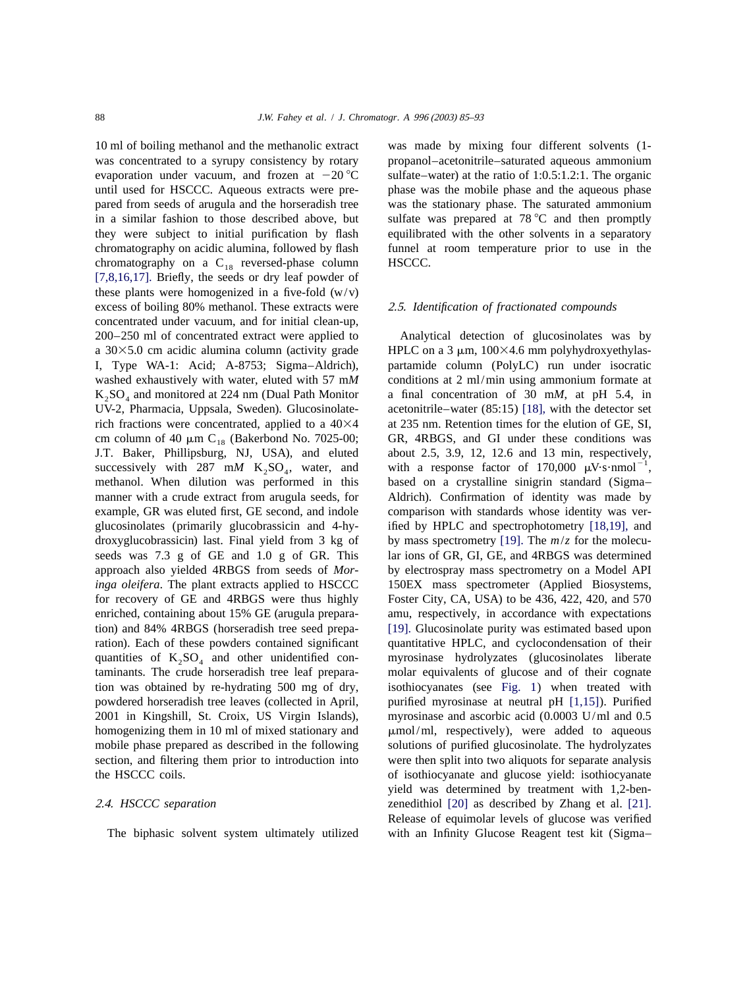was concentrated to a syrupy consistency by rotary propanol–acetonitrile–saturated aqueous ammonium evaporation under vacuum, and frozen at  $-20^{\circ}\text{C}$  sulfate–water) at the ratio of 1:0.5:1.2:1. The organic until used for HSCCC. Aqueous extracts were pre- phase was the mobile phase and the aqueous phase pared from seeds of arugula and the horseradish tree was the stationary phase. The saturated ammonium in a similar fashion to those described above, but sulfate was prepared at  $78\text{ °C}$  and then promptly they were subject to initial purification by flash equilibrated with the other solvents in a separatory chromatography on acidic alumina, followed by flash funnel at room temperature prior to use in the chromatography on a  $C_{18}$  reversed-phase column HSCCC. [\[7,8,16,17\].](#page-7-0) Briefly, the seeds or dry leaf powder of these plants were homogenized in a five-fold  $(w/v)$ excess of boiling 80% methanol. These extracts were 2.5. *Identification of fractionated compounds* concentrated under vacuum, and for initial clean-up, 200–250 ml of concentrated extract were applied to Analytical detection of glucosinolates was by a 30 $\times$ 5.0 cm acidic alumina column (activity grade HPLC on a 3  $\mu$ m, 100 $\times$ 4.6 mm polyhydroxyethylas-I, Type WA-1: Acid; A-8753; Sigma–Aldrich), partamide column (PolyLC) run under isocratic washed exhaustively with water, eluted with 57 mM conditions at 2 ml/min using ammonium formate at  $K_2SO_4$  and monitored at 224 nm (Dual Path Monitor a final concentration of 30 mM, at pH 5.4, in UV-2, Pharmacia, Uppsala, Sweden). Glucosinolate- acetonitrile–water (85:15) [18], with the detector set rich fractions were concentrated, applied to a  $40\times4$  at 235 nm. Retention times for the elution of GE, SI, cm column of 40  $\mu$ m C<sub>18</sub> (Bakerbond No. 7025-00; GR, 4RBGS, and GI under these conditions was J.T. Baker, Phillipsburg, NJ, USA), and eluted about 2.5, 3.9, 12, 12.6 and 13 min, respectively, successively with 287 m*M* K<sub>2</sub>SO<sub>4</sub>, water, and with a response factor of 170,000  $\mu$ V·s·nmol<sup>-1</sup>, methanol. When dilution was performed in this based on a crystalline sinigrin standard (Sigma– manner with a crude extract from arugula seeds, for Aldrich). Confirmation of identity was made by example, GR was eluted first, GE second, and indole comparison with standards whose identity was verglucosinolates (primarily glucobrassicin and 4-hy- ified by HPLC and spectrophotometry [\[18,19\],](#page-8-0) and droxyglucobrassicin) last. Final yield from 3 kg of by mass spectrometry [\[19\].](#page-8-0) The  $m/z$  for the molecuseeds was 7.3 g of GE and 1.0 g of GR. This lar ions of GR, GI, GE, and 4RBGS was determined approach also yielded 4RBGS from seeds of *Mor*- by electrospray mass spectrometry on a Model API *inga oleifera*. The plant extracts applied to HSCCC 150EX mass spectrometer (Applied Biosystems, for recovery of GE and 4RBGS were thus highly Foster City, CA, USA) to be 436, 422, 420, and 570 enriched, containing about 15% GE (arugula prepara- amu, respectively, in accordance with expectations tion) and 84% 4RBGS (horseradish tree seed prepa- [\[19\].](#page-8-0) Glucosinolate purity was estimated based upon ration). Each of these powders contained significant quantitative HPLC, and cyclocondensation of their quantities of  $K_2SO_4$  and other unidentified con-<br>taminants. The crude horseradish tree leaf prepara-<br>molar equivalents of glucose and of their cognate tion was obtained by re-hydrating 500 mg of dry, isothiocyanates (see [Fig. 1](#page-1-0)) when treated with powdered horseradish tree leaves (collected in April, purified myrosinase at neutral pH [\[1,15\]](#page-7-0)). Purified 2001 in Kingshill, St. Croix, US Virgin Islands), myrosinase and ascorbic acid (0.0003 U/ml and 0.5 homogenizing them in 10 ml of mixed stationary and  $\mu$ mol/ml, respectively), were added to aqueous mobile phase prepared as described in the following solutions of purified glucosinolate. The hydrolyzates section, and filtering them prior to introduction into were then split into two aliquots for separate analysis the HSCCC coils. of isothiocyanate and glucose yield: isothiocyanate

10 ml of boiling methanol and the methanolic extract was made by mixing four different solvents (1-

acetonitrile–water  $(85:15)$  [\[18\],](#page-8-0) with the detector set based on a crystalline sinigrin standard (Sigma– molar equivalents of glucose and of their cognate yield was determined by treatment with 1,2-ben-2 .4. *HSCCC separation* zenedithiol [\[20\]](#page-8-0) as described by Zhang et al. [\[21\].](#page-8-0) Release of equimolar levels of glucose was verified The biphasic solvent system ultimately utilized with an Infinity Glucose Reagent test kit (Sigma–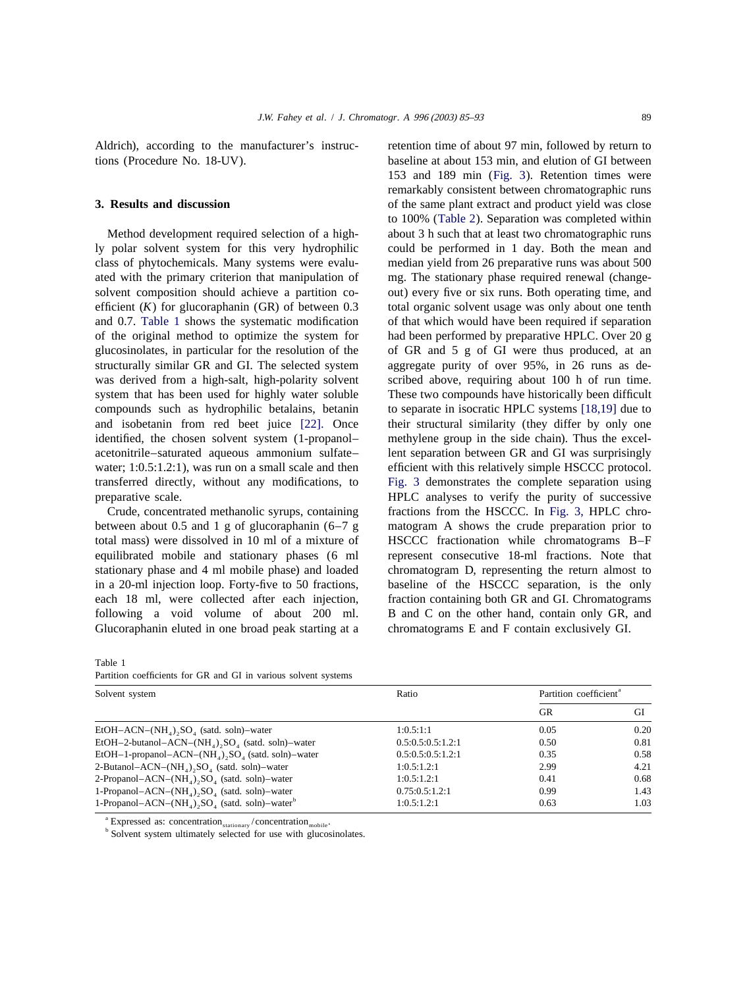Aldrich), according to the manufacturer's instruc- retention time of about 97 min, followed by return to tions (Procedure No. 18-UV). baseline at about 153 min, and elution of GI between

ly polar solvent system for this very hydrophilic could be performed in 1 day. Both the mean and class of phytochemicals. Many systems were evalu- median yield from 26 preparative runs was about 500 ated with the primary criterion that manipulation of mg. The stationary phase required renewal (changesolvent composition should achieve a partition co- out) every five or six runs. Both operating time, and efficient (*K*) for glucoraphanin (GR) of between 0.3 total organic solvent usage was only about one tenth and 0.7. Table 1 shows the systematic modification of that which would have been required if separation of the original method to optimize the system for had been performed by preparative HPLC. Over 20 g glucosinolates, in particular for the resolution of the of GR and 5 g of GI were thus produced, at an structurally similar GR and GI. The selected system aggregate purity of over 95%, in 26 runs as dewas derived from a high-salt, high-polarity solvent scribed above, requiring about 100 h of run time. system that has been used for highly water soluble These two compounds have historically been difficult compounds such as hydrophilic betalains, betanin to separate in isocratic HPLC systems [\[18,19\]](#page-8-0) due to and isobetanin from red beet juice [\[22\].](#page-8-0) Once their structural similarity (they differ by only one identified, the chosen solvent system (1-propanol– methylene group in the side chain). Thus the excelacetonitrile–saturated aqueous ammonium sulfate– lent separation between GR and GI was surprisingly water; 1:0.5:1.2:1), was run on a small scale and then efficient with this relatively simple HSCCC protocol. transferred directly, without any modifications, to [Fig. 3](#page-5-0) demonstrates the complete separation using preparative scale. HPLC analyses to verify the purity of successive

between about 0.5 and 1 g of glucoraphanin  $(6-7)$  g matogram A shows the crude preparation prior to total mass) were dissolved in 10 ml of a mixture of HSCCC fractionation while chromatograms B–F equilibrated mobile and stationary phases (6 ml represent consecutive 18-ml fractions. Note that stationary phase and 4 ml mobile phase) and loaded chromatogram D, representing the return almost to in a 20-ml injection loop. Forty-five to 50 fractions, baseline of the HSCCC separation, is the only each 18 ml, were collected after each injection, fraction containing both GR and GI. Chromatograms following a void volume of about 200 ml. B and C on the other hand, contain only GR, and Glucoraphanin eluted in one broad peak starting at a chromatograms E and F contain exclusively GI.

153 and 189 min ([Fig. 3](#page-5-0)). Retention times were remarkably consistent between chromatographic runs **3. Results and discussion** of the same plant extract and product yield was close to 100% ([Table 2](#page-5-0)). Separation was completed within Method development required selection of a high- about 3 h such that at least two chromatographic runs Crude, concentrated methanolic syrups, containing fractions from the HSCCC. In [Fig. 3,](#page-5-0) HPLC chro-

|  | Partition coefficients for GR and GI in various solvent systems |  |
|--|-----------------------------------------------------------------|--|
|--|-----------------------------------------------------------------|--|

| Solvent system                                                             | Ratio             | Partition coefficient <sup>a</sup> |      |
|----------------------------------------------------------------------------|-------------------|------------------------------------|------|
|                                                                            |                   | <b>GR</b>                          | GІ   |
| $EtOH-ACN-(NH4),SO4$ (satd. soln)-water                                    | 1:0.5:1:1         | 0.05                               | 0.20 |
| $EtOH-2-butanol-ACN-(NH4),SO4$ (satd. soln)-water                          | 0.5:0.5:0.5:1.2:1 | 0.50                               | 0.81 |
| $EtOH-1-propanol-ACN-(NH4), SO4 (satd. soln) - water$                      | 0.5:0.5:0.5:1.2:1 | 0.35                               | 0.58 |
| 2-Butanol-ACN- $(NH_4)$ , SO <sub>4</sub> (satd. soln)-water               | 1:0.5:1.2:1       | 2.99                               | 4.21 |
| 2-Propanol-ACN- $(NH_4)$ , SO <sub>4</sub> (satd. soln)-water              | 1:0.5:1.2:1       | 0.41                               | 0.68 |
| 1-Propanol-ACN- $(NH_4)$ , SO <sub>4</sub> (satd. soln)-water              | 0.75:0.5:1.2:1    | 0.99                               | 1.43 |
| 1-Propanol-ACN- $(NH_A)$ , SO <sub>4</sub> (satd. soln)-water <sup>b</sup> | 1:0.5:1.2:1       | 0.63                               | 1.03 |

a

<sup>a</sup> Expressed as: concentration  $_{\text{stationary}}$  / concentration  $_{\text{mobile}}$ .<br><sup>b</sup> Solvent system ultimately selected for use with glucosinolates.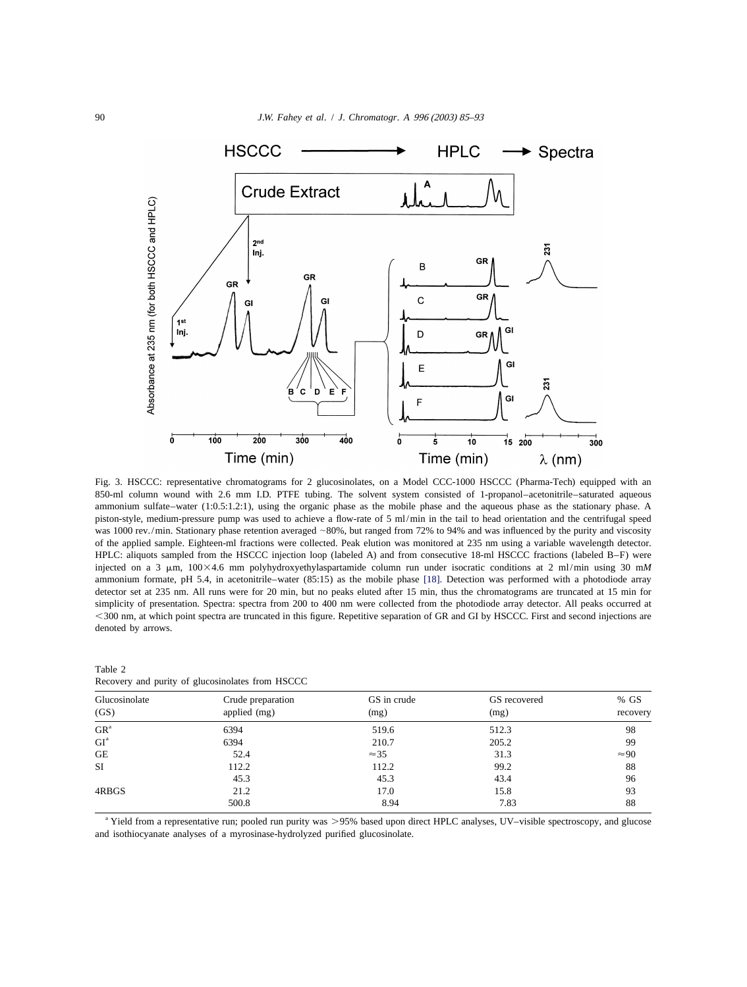<span id="page-5-0"></span>

Fig. 3. HSCCC: representative chromatograms for 2 glucosinolates, on a Model CCC-1000 HSCCC (Pharma-Tech) equipped with an 850-ml column wound with 2.6 mm I.D. PTFE tubing. The solvent system consisted of 1-propanol–acetonitrile–saturated aqueous ammonium sulfate–water (1:0.5:1.2:1), using the organic phase as the mobile phase and the aqueous phase as the stationary phase. A piston-style, medium-pressure pump was used to achieve a flow-rate of 5 ml/min in the tail to head orientation and the centrifugal speed was 1000 rev./min. Stationary phase retention averaged ~80%, but ranged from 72% to 94% and was influenced by the purity and viscosity of the applied sample. Eighteen-ml fractions were collected. Peak elution was monitored at 235 nm using a variable wavelength detector. HPLC: aliquots sampled from the HSCCC injection loop (labeled A) and from consecutive 18-ml HSCCC fractions (labeled B–F) were injected on a 3  $\mu$ m, 100×4.6 mm polyhydroxyethylaspartamide column run under isocratic conditions at 2 ml/min using 30 mM ammonium formate, pH 5.4, in acetonitrile–water (85:15) as the mobile phase [\[18\].](#page-8-0) Detection was performed with a photodiode array detector set at 235 nm. All runs were for 20 min, but no peaks eluted after 15 min, thus the chromatograms are truncated at 15 min for simplicity of presentation. Spectra: spectra from 200 to 400 nm were collected from the photodiode array detector. All peaks occurred at ,300 nm, at which point spectra are truncated in this figure. Repetitive separation of GR and GI by HSCCC. First and second injections are denoted by arrows.

| Table 2       | Recovery and purity of glucosinolates from HSCCC |
|---------------|--------------------------------------------------|
|               |                                                  |
| Glucosinolate | Crude preparation                                |

| Glucosinolate<br>(GS)                  | Crude preparation<br>applied (mg) | GS in crude<br>(mg) | GS recovered<br>(mg) | $%$ GS       |
|----------------------------------------|-----------------------------------|---------------------|----------------------|--------------|
|                                        |                                   |                     |                      | recovery     |
| GR <sup>a</sup>                        | 6394                              | 519.6               | 512.3                | 98           |
| $\operatorname{GI}^{\operatorname{a}}$ | 6394                              | 210.7               | 205.2                | 99           |
| <b>GE</b>                              | 52.4                              | $\approx$ 35        | 31.3                 | $\approx 90$ |
| SI                                     | 112.2                             | 112.2               | 99.2                 | 88           |
|                                        | 45.3                              | 45.3                | 43.4                 | 96           |
| 4RBGS                                  | 21.2                              | 17.0                | 15.8                 | 93           |
|                                        | 500.8                             | 8.94                | 7.83                 | 88           |

a Yield from a representative run; pooled run purity was >95% based upon direct HPLC analyses, UV-visible spectroscopy, and glucose and isothiocyanate analyses of a myrosinase-hydrolyzed purified glucosinolate.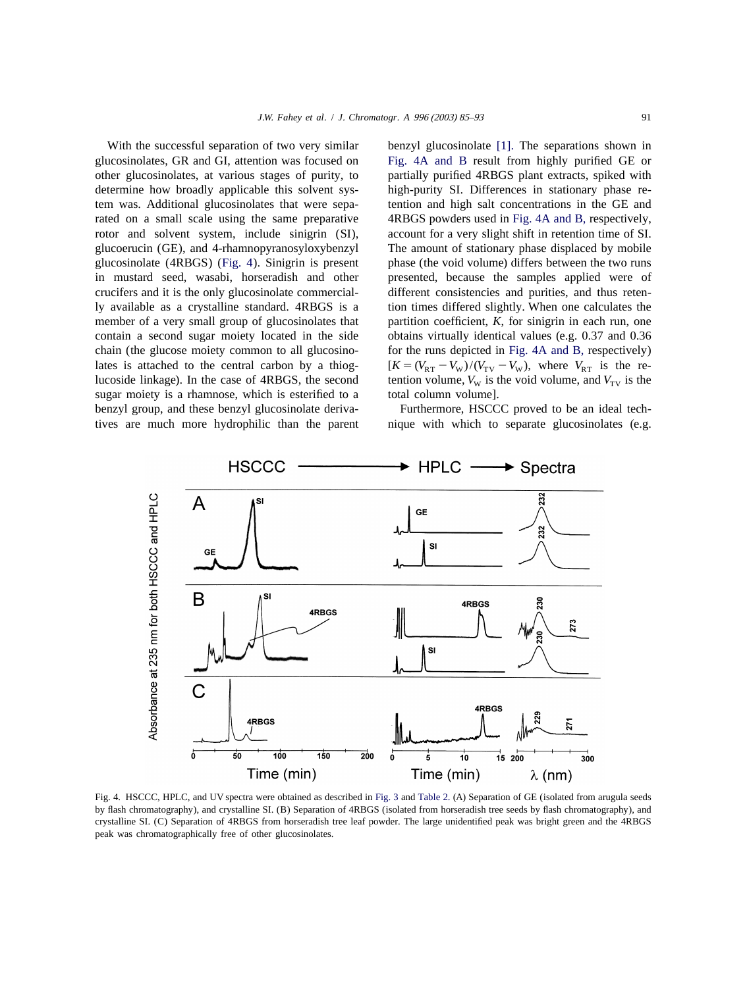<span id="page-6-0"></span>glucosinolates, GR and GI, attention was focused on Fig. 4A and B result from highly purified GE or other glucosinolates, at various stages of purity, to partially purified 4RBGS plant extracts, spiked with determine how broadly applicable this solvent sys- high-purity SI. Differences in stationary phase retem was. Additional glucosinolates that were sepa- tention and high salt concentrations in the GE and rated on a small scale using the same preparative 4RBGS powders used in Fig. 4A and B, respectively, rotor and solvent system, include sinigrin (SI), account for a very slight shift in retention time of SI. glucoerucin (GE), and 4-rhamnopyranosyloxybenzyl The amount of stationary phase displaced by mobile glucosinolate (4RBGS) (Fig. 4). Sinigrin is present phase (the void volume) differs between the two runs in mustard seed, wasabi, horseradish and other presented, because the samples applied were of crucifers and it is the only glucosinolate commercial- different consistencies and purities, and thus retenly available as a crystalline standard. 4RBGS is a tion times differed slightly. When one calculates the member of a very small group of glucosinolates that partition coefficient, *K*, for sinigrin in each run, one contain a second sugar moiety located in the side obtains virtually identical values (e.g. 0.37 and 0.36 chain (the glucose moiety common to all glucosino- for the runs depicted in Fig. 4A and B, respectively) lates is attached to the central carbon by a thiog-<br>lucoside linkage). In the case of 4RBGS, the second tention volume,  $V_w$  is the void volume, and  $V_{\text{rv}}$  is the sugar moiety is a rhamnose, which is esterified to a benzyl group, and these benzyl glucosinolate deriva-<br>Furthermore, HSCCC proved to be an ideal techtives are much more hydrophilic than the parent nique with which to separate glucosinolates (e.g.

With the successful separation of two very similar benzyl glucosinolate [\[1\].](#page-7-0) The separations shown in tention volume,  $V_W$  is the void volume, and  $V_{TV}$  is the total column volume).



Fig. 4. HSCCC, HPLC, and UV spectra were obtained as described in [Fig.](#page-5-0) [3](#page-5-0) and [Table 2.](#page-5-0) (A) Separation of GE (isolated from arugula seeds by flash chromatography), and crystalline SI. (B) Separation of 4RBGS (isolated from horseradish tree seeds by flash chromatography), and crystalline SI. (C) Separation of 4RBGS from horseradish tree leaf powder. The large unidentified peak was bright green and the 4RBGS peak was chromatographically free of other glucosinolates.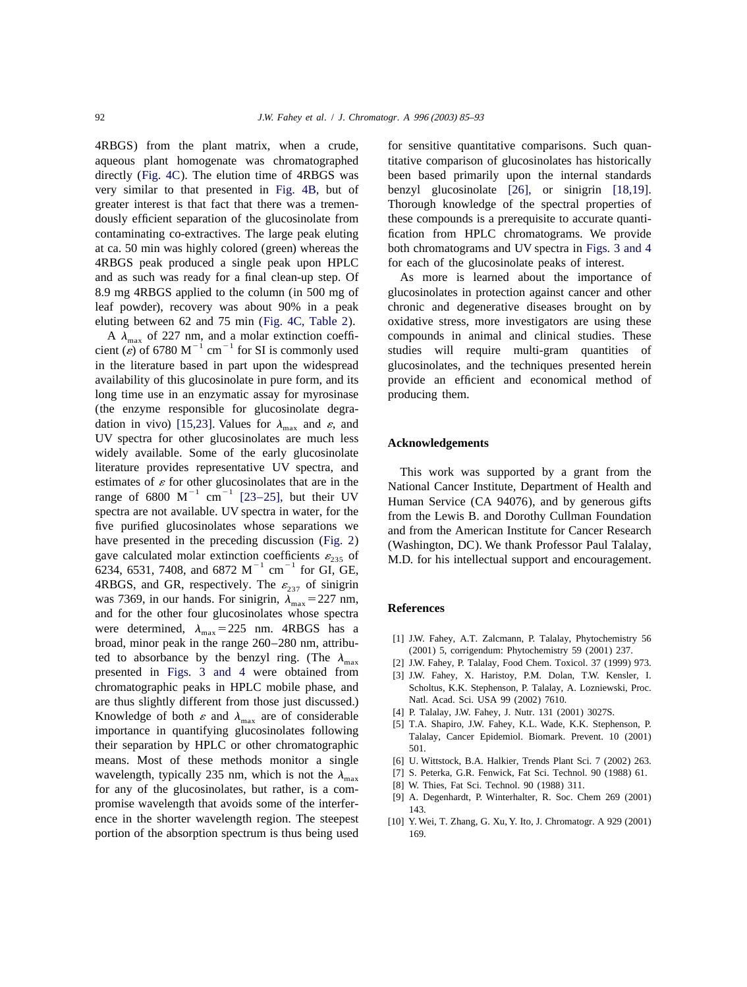<span id="page-7-0"></span>4RBGS) from the plant matrix, when a crude, for sensitive quantitative comparisons. Such quanaqueous plant homogenate was chromatographed titative comparison of glucosinolates has historically directly ([Fig. 4C](#page-6-0)). The elution time of 4RBGS was been based primarily upon the internal standards very similar to that presented in [Fig. 4B,](#page-6-0) but of benzyl glucosinolate [\[26\],](#page-8-0) or sinigrin [\[18,19\].](#page-8-0) greater interest is that fact that there was a tremen- Thorough knowledge of the spectral properties of dously efficient separation of the glucosinolate from these compounds is a prerequisite to accurate quanticontaminating co-extractives. The large peak eluting fication from HPLC chromatograms. We provide at ca. 50 min was highly colored (green) whereas the both chromatograms and UV spectra in [Figs. 3 and 4](#page-5-0) 4RBGS peak produced a single peak upon HPLC for each of the glucosinolate peaks of interest. and as such was ready for a final clean-up step. Of As more is learned about the importance of 8.9 mg 4RBGS applied to the column (in 500 mg of glucosinolates in protection against cancer and other leaf powder), recovery was about 90% in a peak chronic and degenerative diseases brought on by

in the literature based in part upon the widespread glucosinolates, and the techniques presented herein availability of this glucosinolate in pure form, and its provide an efficient and economical method of long time use in an enzymatic assay for myrosinase producing them. (the enzyme responsible for glucosinolate degra-dation in vivo) [\[15,23\].](#page-8-0) Values for  $\lambda_{\text{max}}$  and  $\varepsilon$ , and UV spectra for other glucosinolates are much less **Acknowledgements** widely available. Some of the early glucosinolate literature provides representative UV spectra, and<br>estimates of  $\varepsilon$  for other glucosinolates that are in the<br>range of 6800 M<sup>-1</sup> cm<sup>-1</sup> [23-25], but their UV<br>spectra are not available. UV spectra in water, for the<br>five The purine guideling discussion ([Fig. 2](#page-1-0)) and from the American Institute for Cancer Research<br>have presented in the preceding discussion (Fig. 2) (Washington, DC). We thank Professor Paul Talalay,<br>gave calculated molar ext 4RBGS, and GR, respectively. The  $\varepsilon_{237}$  of sinigrin was 7369, in our hands. For sinigrin,  $\lambda_{\text{max}} = 227 \text{ nm}$ , **References** and for the other four glucosinolates whose spectra were determined,  $\lambda_{\text{max}} = 225$  nm. 4RBGS has a<br>broad, minor peak in the range 260–280 nm, attribu-<br>ted to absorbance by the benzyl ring. (The  $\lambda_{\text{max}}$  [1] J.W. Fahey, A.T. Zalcmann, P. Talalay, Phytochemistry 56<br>[2] J presented in [Figs. 3 and 4](#page-5-0) were obtained from [3] J.W. Fahey, X. Haristoy, P.M. Dolan, T.W. Kensler, I. chromatographic peaks in HPLC mobile phase, and Scholtus, K.K. Stephenson, P. Talalay, A. Lozniewski, Proc. chromatographic peaks in HPLC mobile phase, and Scholtus, K.K. Stephenson, P. Talalay, A. Loznie phase inst discussed.) Natl. Acad. Sci. USA 99 (2002) 7610. are thus slightly different from those just discussed.) Natl. Acad. Sci. USA 99 (2002) 7610.<br>Knowledge of both s and  $\lambda$  are of considerable [4] P. Talalay, J.W. Fahey, J. Nutr. 131 (2001) 3027S. Knowledge of both  $\varepsilon$  and  $\lambda_{\text{max}}$  are of considerable<br>importance in quantifying glucosinolates following<br>importance in quantifying glucosinolates following<br>Talalay, Cancer Epidemiol. Biomark. Prevent. 10 (2001) their separation by HPLC or other chromatographic  $\frac{501}{501}$ . means. Most of these methods monitor a single [6] U. Wittstock, B.A. Halkier, Trends Plant Sci. 7 (2002) 263. wavelength, typically 235 nm, which is not the  $\lambda_{\text{max}}$  [7] S. Peterka, G.R. Fenwick, Fat Sci. Technol. 90 (1988) 61.<br>
for any of the glucosinolates, but rather, is a com-<br>
promise wavelength that avoids some of the int ence in the shorter wavelength region. The steepest [10] Y. Wei, T. Zhang, G. Xu, Y. Ito, J. Chromatogr. A 929 (2001) portion of the absorption spectrum is thus being used 169.

eluting between 62 and 75 min ([Fig.](#page-6-0) [4C,](#page-6-0) [Table 2](#page-5-0)). oxidative stress, more investigators are using these A  $\lambda_{\text{max}}$  of 227 nm, and a molar extinction coeffi-<br>cient ( $\varepsilon$ ) of 6780 M<sup>-1</sup> cm<sup>-1</sup> for SI is commonly used studies will require multi-gram quantities of

- 
- 
- 
- 
- 
- 
- 
- 
- 
-